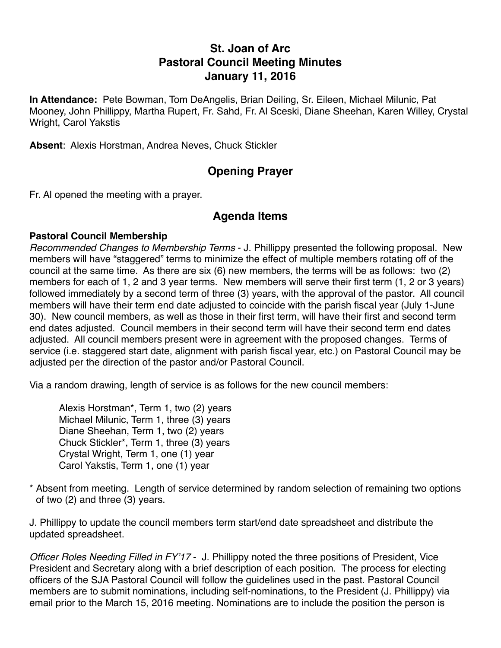# **St. Joan of Arc Pastoral Council Meeting Minutes January 11, 2016**

**In Attendance:** Pete Bowman, Tom DeAngelis, Brian Deiling, Sr. Eileen, Michael Milunic, Pat Mooney, John Phillippy, Martha Rupert, Fr. Sahd, Fr. Al Sceski, Diane Sheehan, Karen Willey, Crystal Wright, Carol Yakstis

**Absent**: Alexis Horstman, Andrea Neves, Chuck Stickler

# **Opening Prayer**

Fr. Al opened the meeting with a prayer.

### **Agenda Items**

#### **Pastoral Council Membership**

*Recommended Changes to Membership Terms* - J. Phillippy presented the following proposal. New members will have "staggered" terms to minimize the effect of multiple members rotating off of the council at the same time. As there are six (6) new members, the terms will be as follows: two (2) members for each of 1, 2 and 3 year terms. New members will serve their first term (1, 2 or 3 years) followed immediately by a second term of three (3) years, with the approval of the pastor. All council members will have their term end date adjusted to coincide with the parish fiscal year (July 1-June 30). New council members, as well as those in their first term, will have their first and second term end dates adjusted. Council members in their second term will have their second term end dates adjusted. All council members present were in agreement with the proposed changes. Terms of service (i.e. staggered start date, alignment with parish fiscal year, etc.) on Pastoral Council may be adjusted per the direction of the pastor and/or Pastoral Council.

Via a random drawing, length of service is as follows for the new council members:

Alexis Horstman\*, Term 1, two (2) years Michael Milunic, Term 1, three (3) years Diane Sheehan, Term 1, two (2) years Chuck Stickler\*, Term 1, three (3) years Crystal Wright, Term 1, one (1) year Carol Yakstis, Term 1, one (1) year

\* Absent from meeting. Length of service determined by random selection of remaining two options of two (2) and three (3) years.

J. Phillippy to update the council members term start/end date spreadsheet and distribute the updated spreadsheet.

*Officer Roles Needing Filled in FY'17* - J. Phillippy noted the three positions of President, Vice President and Secretary along with a brief description of each position. The process for electing officers of the SJA Pastoral Council will follow the guidelines used in the past. Pastoral Council members are to submit nominations, including self-nominations, to the President (J. Phillippy) via email prior to the March 15, 2016 meeting. Nominations are to include the position the person is